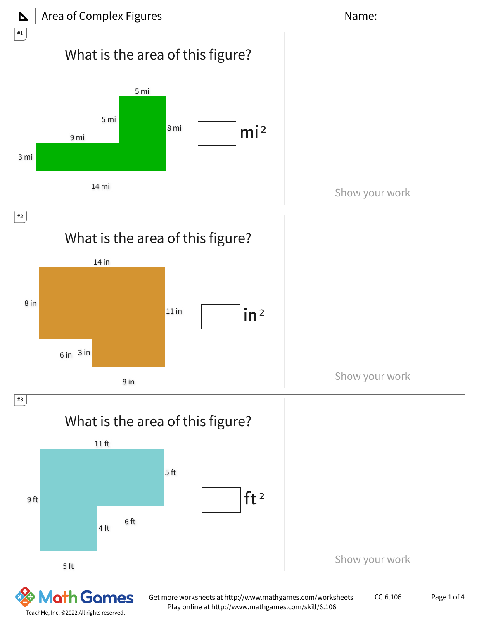



TeachMe, Inc. ©2022 All rights reserved.

Play online at http://www.mathgames.com/skill/6.106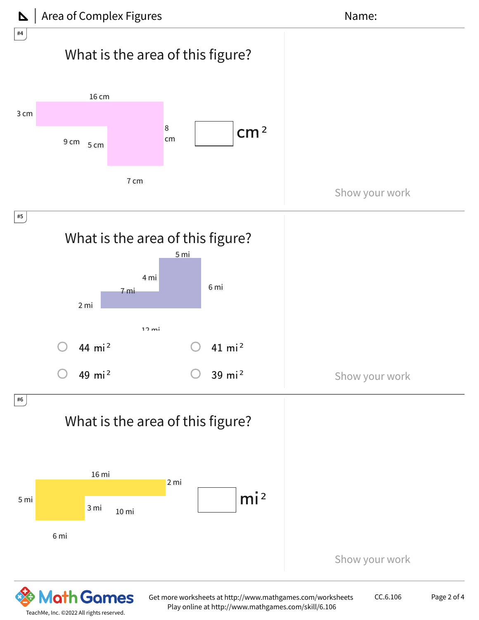

TeachMe, Inc. ©2022 All rights reserved.

O

Games



Get more worksheets at http://www.mathgames.com/worksheets Play online at http://www.mathgames.com/skill/6.106

CC.6.106 Page 2 of 4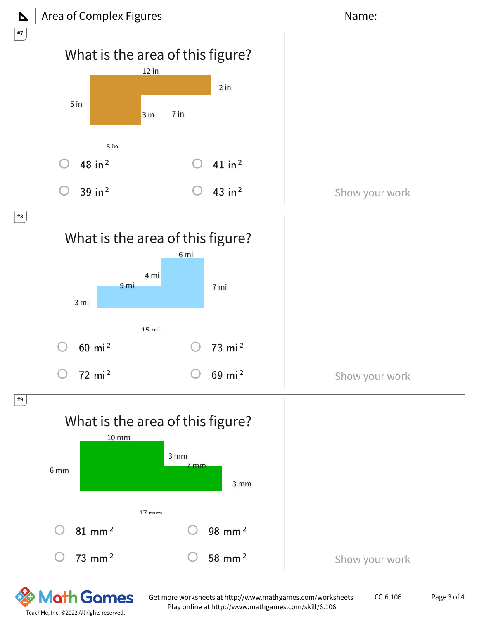

Get more worksheets at http://www.mathgames.com/worksheets Play online at http://www.mathgames.com/skill/6.106

CC.6.106 Page 3 of 4

TeachMe, Inc. ©2022 All rights reserved.

O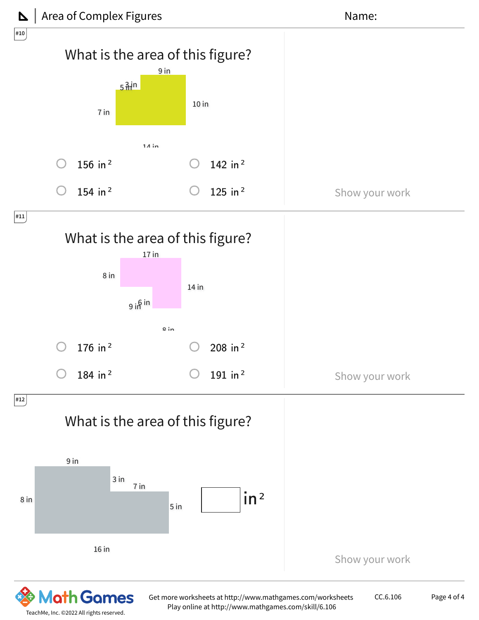

TeachMe, Inc. ©2022 All rights reserved.

Play online at http://www.mathgames.com/skill/6.106